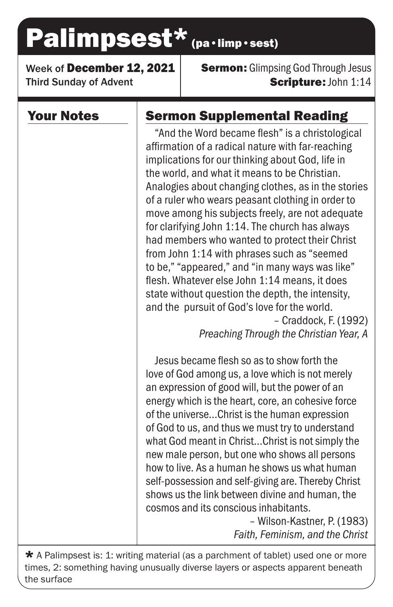# Palimpsest\* (pa·limp·sest)

Week of December 12, 2021 Third Sunday of Advent

**Sermon:** Glimpsing God Through Jesus Scripture: John 1:14

## Your Notes

# Sermon Supplemental Reading

"And the Word became flesh" is a christological affirmation of a radical nature with far-reaching implications for our thinking about God, life in the world, and what it means to be Christian. Analogies about changing clothes, as in the stories of a ruler who wears peasant clothing in order to move among his subjects freely, are not adequate for clarifying John 1:14. The church has always had members who wanted to protect their Christ from John 1:14 with phrases such as "seemed to be," "appeared," and "in many ways was like" flesh. Whatever else John 1:14 means, it does state without question the depth, the intensity, and the pursuit of God's love for the world. – Craddock, F. (1992)

*Preaching Through the Christian Year, A*

Jesus became flesh so as to show forth the love of God among us, a love which is not merely an expression of good will, but the power of an energy which is the heart, core, an cohesive force of the universe...Christ is the human expression of God to us, and thus we must try to understand what God meant in Christ...Christ is not simply the new male person, but one who shows all persons how to live. As a human he shows us what human self-possession and self-giving are. Thereby Christ shows us the link between divine and human, the cosmos and its conscious inhabitants.

> – Wilson-Kastner, P. (1983) *Faith, Feminism, and the Christ*

 $\star$  A Palimpsest is: 1: writing material (as a parchment of tablet) used one or more times, 2: something having unusually diverse layers or aspects apparent beneath the surface